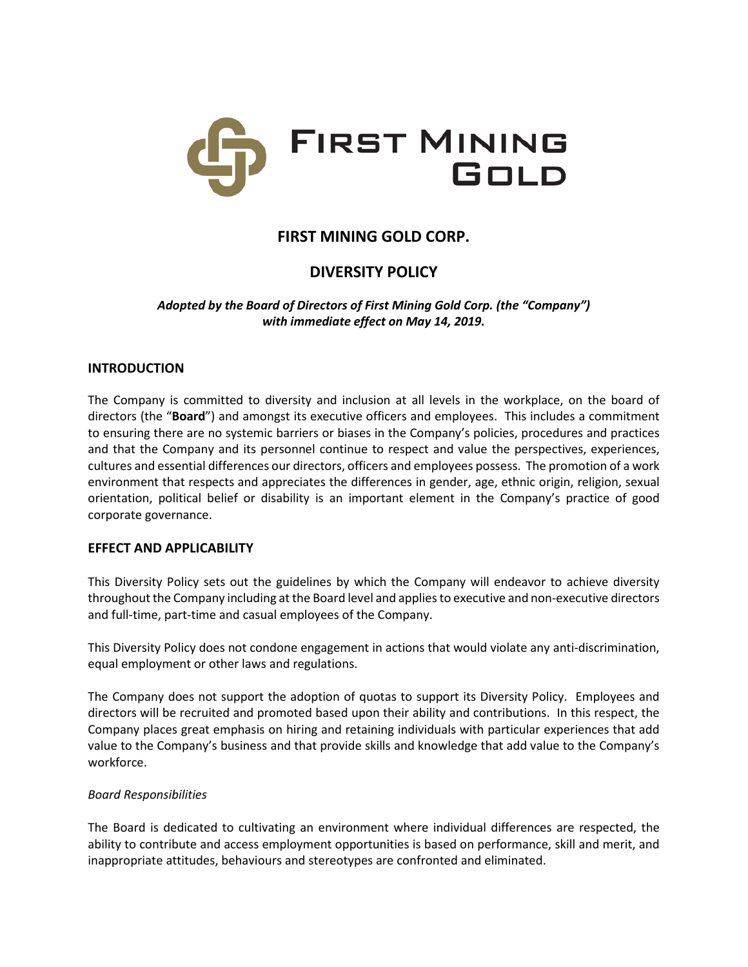

## **FIRST MINING GOLD CORP.**

# **DIVERSITY POLICY**

*Adopted by the Board of Directors of First Mining Gold Corp. (the "Company") with immediate effect on May 14, 2019.*

### **INTRODUCTION**

The Company is committed to diversity and inclusion at all levels in the workplace, on the board of directors (the "**Board**") and amongst its executive officers and employees. This includes a commitment to ensuring there are no systemic barriers or biases in the Company's policies, procedures and practices and that the Company and its personnel continue to respect and value the perspectives, experiences, cultures and essential differences our directors, officers and employees possess. The promotion of a work environment that respects and appreciates the differences in gender, age, ethnic origin, religion, sexual orientation, political belief or disability is an important element in the Company's practice of good corporate governance.

### **EFFECT AND APPLICABILITY**

This Diversity Policy sets out the guidelines by which the Company will endeavor to achieve diversity throughout the Company including at the Board level and applies to executive and non-executive directors and full-time, part-time and casual employees of the Company.

This Diversity Policy does not condone engagement in actions that would violate any anti-discrimination, equal employment or other laws and regulations.

The Company does not support the adoption of quotas to support its Diversity Policy. Employees and directors will be recruited and promoted based upon their ability and contributions. In this respect, the Company places great emphasis on hiring and retaining individuals with particular experiences that add value to the Company's business and that provide skills and knowledge that add value to the Company's workforce.

### *Board Responsibilities*

The Board is dedicated to cultivating an environment where individual differences are respected, the ability to contribute and access employment opportunities is based on performance, skill and merit, and inappropriate attitudes, behaviours and stereotypes are confronted and eliminated.